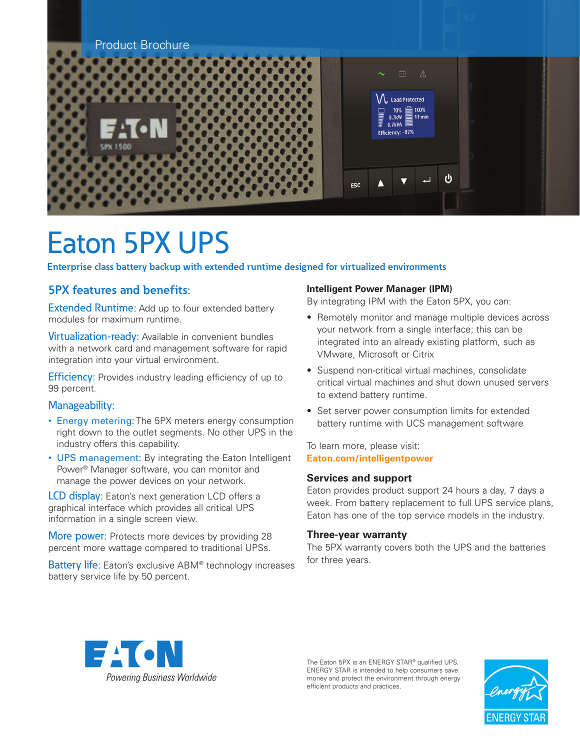

# Eaton 5PX UPS

**Enterprise class battery backup with extended runtime designed for virtualized environments**

### **5PX features and benefits:**

**Extended Runtime:** Add up to four extended battery modules for maximum runtime.

Virtualization-ready: Available in convenient bundles with a network card and management software for rapid integration into your virtual environment.

**Efficiency:** Provides industry leading efficiency of up to 99 percent.

#### Manageability:

- Energy metering: The 5PX meters energy consumption right down to the outlet segments. No other UPS in the industry offers this capability.
- UPS management: By integrating the Eaton Intelligent Power® Manager software, you can monitor and manage the power devices on your network.

**LCD display:** Eaton's next generation LCD offers a graphical interface which provides all critical UPS information in a single screen view.

More power: Protects more devices by providing 28 percent more wattage compared to traditional UPSs.

**Battery life:** Eaton's exclusive ABM<sup>®</sup> technology increases battery service life by 50 percent.

#### **Intelligent Power Manager (IPM)**

By integrating IPM with the Eaton 5PX, you can:

- Remotely monitor and manage multiple devices across your network from a single interface; this can be integrated into an already existing platform, such as VMware, Microsoft or Citrix
- Suspend non-critical virtual machines, consolidate critical virtual machines and shut down unused servers to extend battery runtime.
- Set server power consumption limits for extended battery runtime with UCS management software

To learn more, please visit: **[Eaton.com/intelligentpower](http://Eaton.com/intelligentpower)**

#### **Services and support**

Eaton provides product support 24 hours a day, 7 days a week. From battery replacement to full UPS service plans, Eaton has one of the top service models in the industry.

#### **Three-year warranty**

The 5PX warranty covers both the UPS and the batteries for three years.



The Eaton 5PX is an ENERGY STAR® qualified UPS. ENERGY STAR is intended to help consumers save money and protect the environment through energy efficient products and practices.